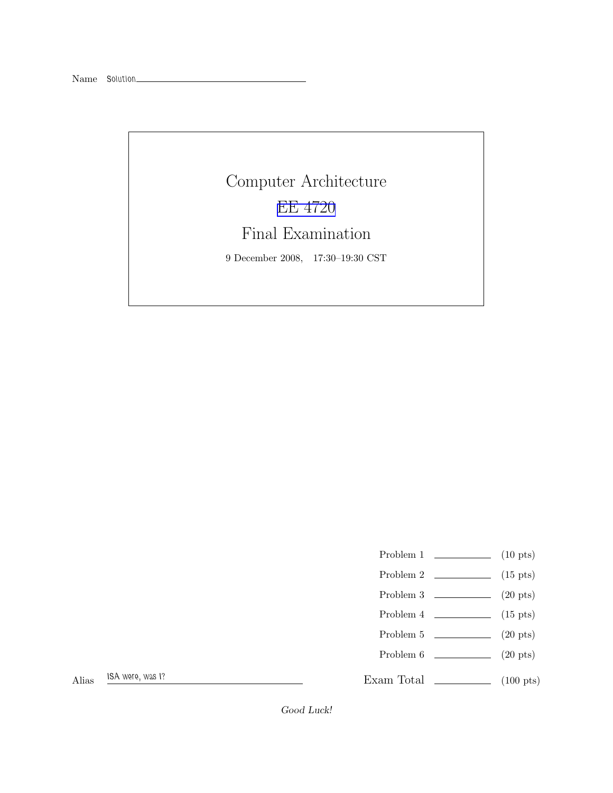Name Solution\_

## Computer Architecture [EE 4720](http://www.ece.lsu.edu/ee4720/) Final Examination 9 December 2008, 17:30–19:30 CST

- Problem 1  $\qquad \qquad$  (10 pts)
- Problem 2 (15 pts)
- Problem  $3 \t\t(20 \text{ pts})$
- Problem 4  $\qquad \qquad$  (15 pts)
- Problem 5  $\qquad \qquad$  (20 pts)
- Problem 6 (20 pts)

Exam Total (100 pts)

Alias ISA were, was 1?

Good Luck!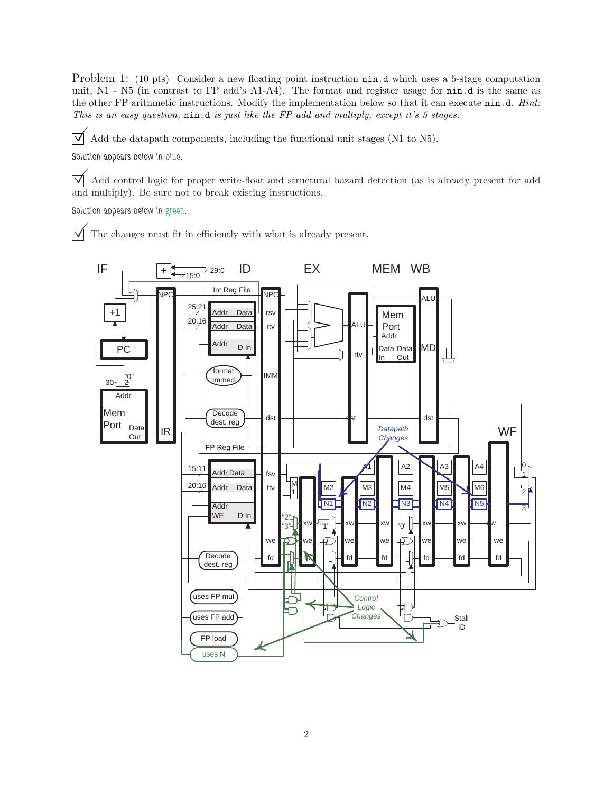Problem 1: (10 pts) Consider a new floating point instruction  $\min d$  which uses a 5-stage computation unit, N1 - N5 (in contrast to FP add's A1-A4). The format and register usage for nin.d is the same as the other FP arithmetic instructions. Modify the implementation below so that it can execute nin.d. *Hint*: This is an easy question,  $\min d$  is just like the FP add and multiply, except it's 5 stages.

 $\overrightarrow{\mathcal{A}}$  Add the datapath components, including the functional unit stages (N1 to N5).

Solution appears below in blue.

 $\sqrt{\phantom{a}}$  Add control logic for proper write-float and structural hazard detection (as is already present for add and multiply). Be sure not to break existing instructions.

Solution appears below in green.

 $\triangledown$  The changes must fit in efficiently with what is already present.

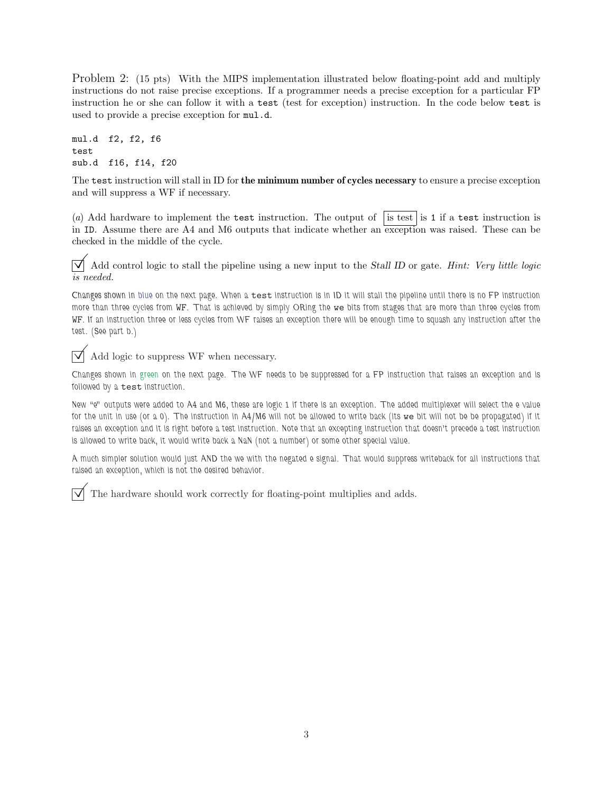Problem 2: (15 pts) With the MIPS implementation illustrated below floating-point add and multiply instructions do not raise precise exceptions. If a programmer needs a precise exception for a particular FP instruction he or she can follow it with a test (test for exception) instruction. In the code below test is used to provide a precise exception for mul.d.

mul.d f2, f2, f6 test sub.d f16, f14, f20

The test instruction will stall in ID for the minimum number of cycles necessary to ensure a precise exception and will suppress a WF if necessary.

(a) Add hardware to implement the test instruction. The output of is test is 1 if a test instruction is in ID. Assume there are A4 and M6 outputs that indicate whether an exception was raised. These can be checked in the middle of the cycle.

 $\overrightarrow{\mathcal{A}}$  Add control logic to stall the pipeline using a new input to the Stall ID or gate. Hint: Very little logic is needed.

Changes shown in blue on the next page. When a test instruction is in ID it will stall the pipeline until there is no FP instruction more than three cycles from WF. That is achieved by simply ORing the we bits from stages that are more than three cycles from WF. If an instruction three or less cycles from WF raises an exception there will be enough time to squash any instruction after the test. (See part b.)

 $\triangledown$  Add logic to suppress WF when necessary.

Changes shown in green on the next page. The WF needs to be suppressed for a FP instruction that raises an exception and is followed by a test instruction.

New "e" outputs were added to A4 and M6, these are logic 1 if there is an exception. The added multiplexer will select the e value for the unit in use (or a 0). The instruction in A4/M6 will not be allowed to write back (its we bit will not be be propagated) if it raises an exception and it is right before a test instruction. Note that an excepting instruction that doesn't precede a test instruction is allowed to write back, it would write back a NaN (not a number) or some other special value.

A much simpler solution would just AND the we with the negated e signal. That would suppress writeback for all instructions that raised an exception, which is not the desired behavior.

The hardware should work correctly for floating-point multiplies and adds.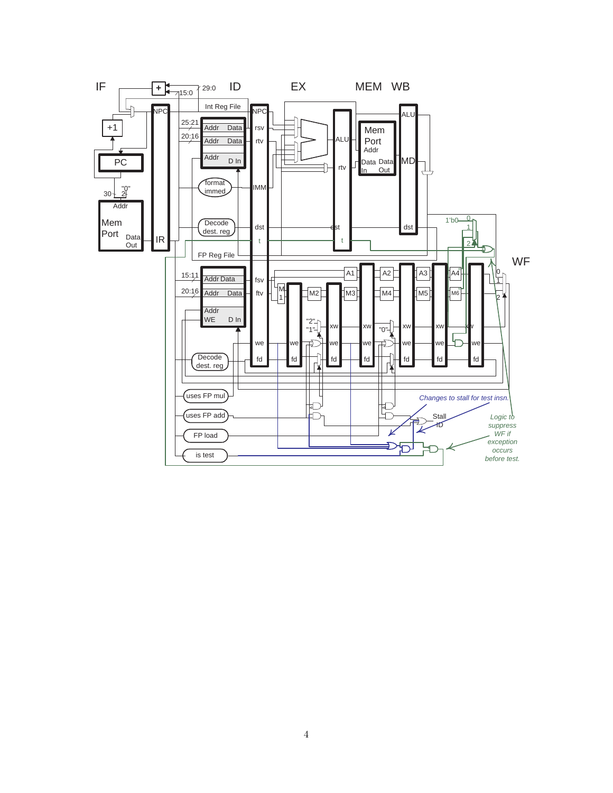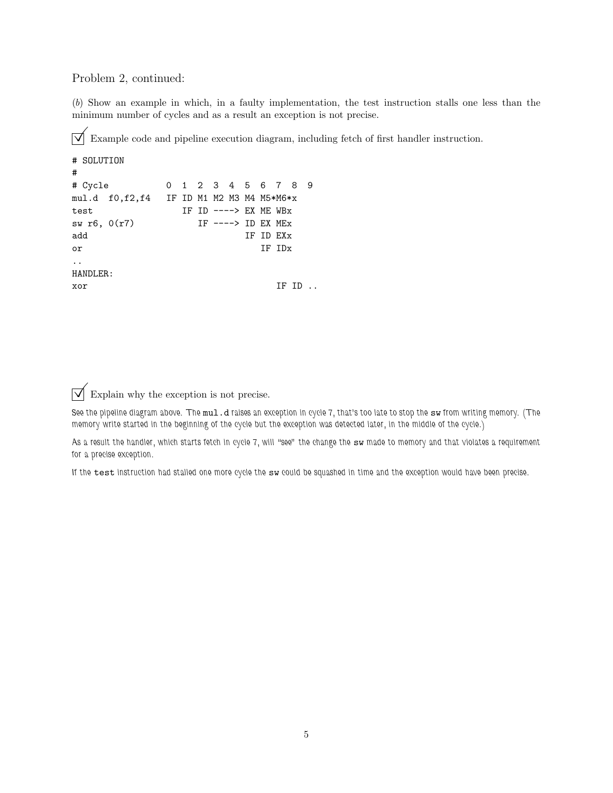## Problem 2, continued:

(b) Show an example in which, in a faulty implementation, the test instruction stalls one less than the minimum number of cycles and as a result an exception is not precise.

 $\triangledown$  Example code and pipeline execution diagram, including fetch of first handler instruction.

```
# SOLUTION
#
# Cycle 0 1 2 3 4 5 6 7 8 9
mul.d f0,f2,f4 IF ID M1 M2 M3 M4 M5*M6*x
test IF ID ----> EX ME WBx
sw r6, 0(r7) IF ----> ID EX MEx
add IF ID EXx
or IF IDx
..
HANDLER:
xor IF ID ..
```
 $\overrightarrow{\bigvee}$  Explain why the exception is not precise.

See the pipeline diagram above. The mul.d raises an exception in cycle 7, that's too late to stop the sw from writing memory. (The memory write started in the beginning of the cycle but the exception was detected later, in the middle of the cycle.)

As a result the handler, which starts fetch in cycle 7, will "see" the change the sw made to memory and that violates a requirement for a precise exception.

If the test instruction had stalled one more cycle the sw could be squashed in time and the exception would have been precise.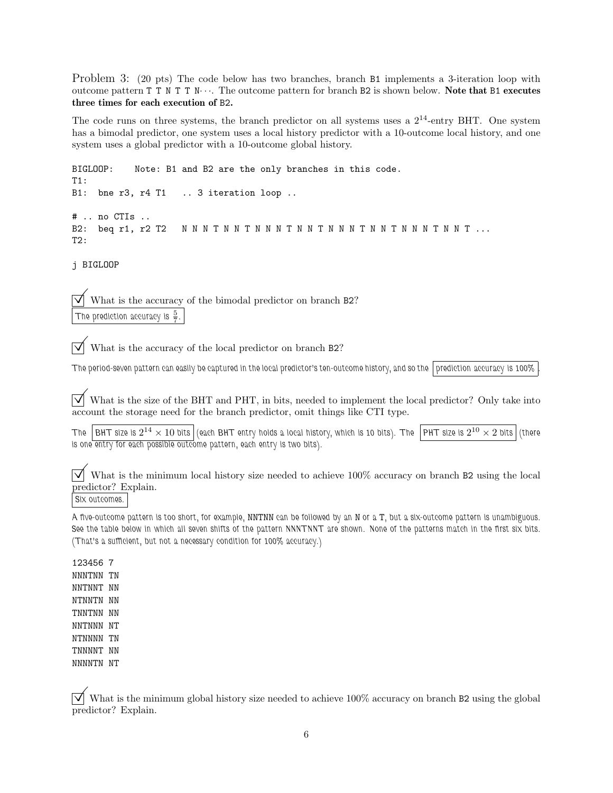Problem 3: (20 pts) The code below has two branches, branch B1 implements a 3-iteration loop with outcome pattern  $T T N T T N \cdots$ . The outcome pattern for branch B2 is shown below. Note that B1 executes three times for each execution of B2.

The code runs on three systems, the branch predictor on all systems uses a  $2^{14}$ -entry BHT. One system has a bimodal predictor, one system uses a local history predictor with a 10-outcome local history, and one system uses a global predictor with a 10-outcome global history.

BIGLOOP: Note: B1 and B2 are the only branches in this code. T1: B1: bne r3, r4 T1 .. 3 iteration loop .. # .. no CTIs .. B2: beq r1, r2 T2 N N N T N N T N N N T N N N T N N T N N N T N N T ... T2:

j BIGLOOP

 $\overrightarrow{\mathsf{V}}$  What is the accuracy of the bimodal predictor on branch B2? The prediction accuracy is  $\frac{5}{7}$ .

What is the accuracy of the local predictor on branch B2?

The period-seven pattern can easily be captured in the local predictor's ten-outcome history, and so the prediction accuracy is 100%

 $\overline{\vee}$  What is the size of the BHT and PHT, in bits, needed to implement the local predictor? Only take into account the storage need for the branch predictor, omit things like CTI type.

The  $\,$  BHT size is  $2^{14}\times10$  bits  $\,|$  (each BHT entry holds a local history, which is 10 bits). The  $\,|$  PHT size is  $2^{10}\times2$  bits  $\,|$  (there is one entry for each possible outcome pattern, each entry is two bits).

 $\overrightarrow{\mathcal{A}}$  What is the minimum local history size needed to achieve 100% accuracy on branch B2 using the local predictor? Explain. Six outcomes.

A five-outcome pattern is too short, for example, NNTNN can be followed by an N or a T, but a six-outcome pattern is unambiguous. See the table below in which all seven shifts of the pattern NNNTNNT are shown. None of the patterns match in the first six bits. (That's a sufficient, but not a necessary condition for 100% accuracy.)

123456 7 NNNTNN TN NNTNNT NN NTNNTN NN TNNTNN NN NNTNNN NT NTNNNN TN TNNNNT NN NNNNTN NT

 $\triangledown$  What is the minimum global history size needed to achieve 100% accuracy on branch B2 using the global predictor? Explain.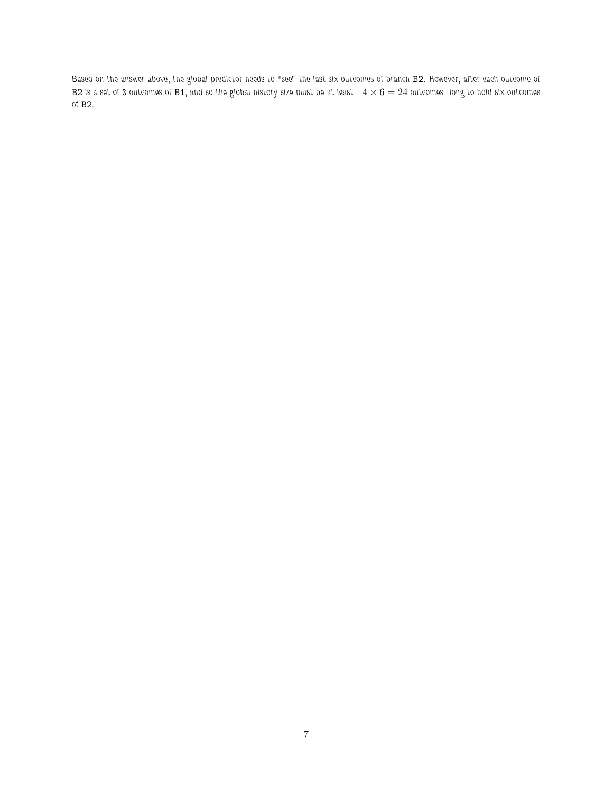Based on the answer above, the global predictor needs to "see" the last six outcomes of branch B2. However, after each outcome of B2 is a set of 3 outcomes of B1, and so the global history size must be at least  $\sqrt{4 \times 6} = 24$  outcomes long to hold six outcomes of B2.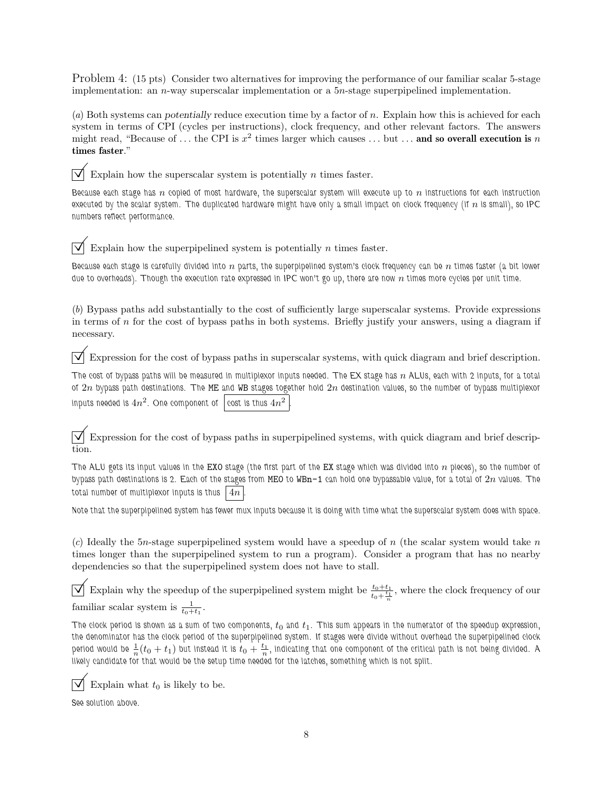Problem 4: (15 pts) Consider two alternatives for improving the performance of our familiar scalar 5-stage implementation: an n-way superscalar implementation or a 5n-stage superpipelined implementation.

(a) Both systems can potentially reduce execution time by a factor of n. Explain how this is achieved for each system in terms of CPI (cycles per instructions), clock frequency, and other relevant factors. The answers might read, "Because of ... the CPI is  $x^2$  times larger which causes ... but ... and so overall execution is n times faster."

 $\forall$  Explain how the superscalar system is potentially *n* times faster.

Because each stage has  $n$  copied of most hardware, the superscalar system will execute up to  $n$  instructions for each instruction executed by the scalar system. The duplicated hardware might have only a small impact on clock frequency (if  $n$  is small), so IPC numbers reflect performance.

 $\overline{\vee}$  Explain how the superpipelined system is potentially *n* times faster.

Because each stage is carefully divided into  $n$  parts, the superpipelined system's clock frequency can be  $n$  times faster (a bit lower due to overheads). Though the execution rate expressed in IPC won't go up, there are now  $n$  times more cycles per unit time.

(b) Bypass paths add substantially to the cost of sufficiently large superscalar systems. Provide expressions in terms of  $n$  for the cost of bypass paths in both systems. Briefly justify your answers, using a diagram if necessary.

Expression for the cost of bypass paths in superscalar systems, with quick diagram and brief description.

The cost of bypass paths will be measured in multiplexor inputs needed. The EX stage has n ALUs, each with 2 inputs, for a total of  $2n$  bypass path destinations. The ME and WB stages together hold  $2n$  destination values, so the number of bypass multiplexor inputs needed is  $4n^2$ . One component of  $\, \Big| \, {\rm cost}$  is thus  $4n^2$ .

 $\overline{\vee}$  Expression for the cost of bypass paths in superpipelined systems, with quick diagram and brief description.

The ALU gets its input values in the EXO stage (the first part of the EX stage which was divided into  $n$  pieces), so the number of bypass path destinations is 2. Each of the stages from MEO to WBn-1 can hold one bypassable value, for a total of  $2n$  values. The total number of multiplexor inputs is thus  $|4n|$ 

Note that the superpipelined system has fewer mux inputs because it is doing with time what the superscalar system does with space.

(c) Ideally the 5n-stage superpipelined system would have a speedup of n (the scalar system would take n times longer than the superpipelined system to run a program). Consider a program that has no nearby dependencies so that the superpipelined system does not have to stall.

 $\overline{\bigvee}$  Explain why the speedup of the superpipelined system might be  $\frac{t_0+t_1}{t_0+\frac{t_1}{n}}$ , where the clock frequency of our familiar scalar system is  $\frac{1}{t_0+t_1}$ .

The clock period is shown as a sum of two components,  $t_0$  and  $t_1$ . This sum appears in the numerator of the speedup expression, the denominator has the clock period of the superpipelined system. If stages were divide without overhead the superpipelined clock period would be  $\frac{1}{n}(t_0+t_1)$  but instead it is  $t_0+\frac{t_1}{n}$ , indicating that one component of the critical path is not being divided. A likely candidate for that would be the setup time needed for the latches, something which is not split.

Explain what  $t_0$  is likely to be.

See solution above.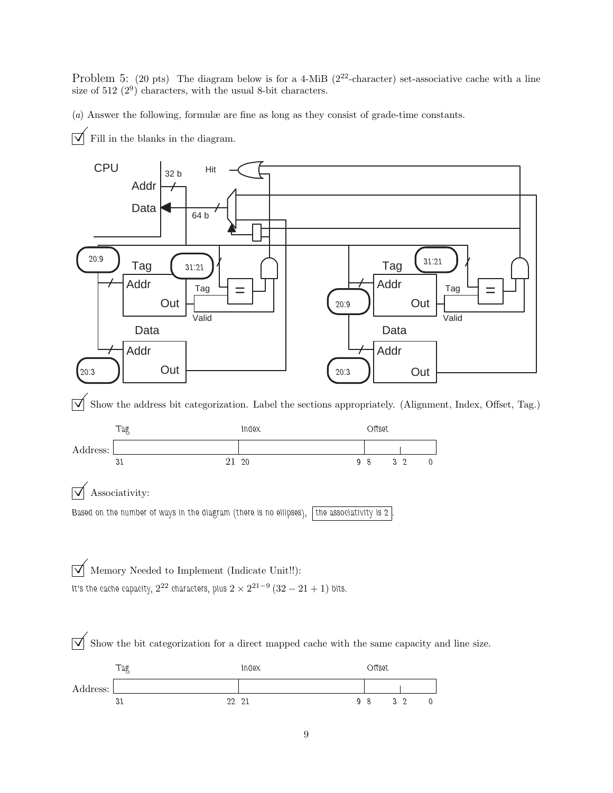Problem 5: (20 pts) The diagram below is for a 4-MiB ( $2^{22}$ -character) set-associative cache with a line size of  $512 (2^9)$  characters, with the usual 8-bit characters.

(a) Answer the following, formulæ are fine as long as they consist of grade-time constants.

 $\overrightarrow{\bigvee}$  Fill in the blanks in the diagram.

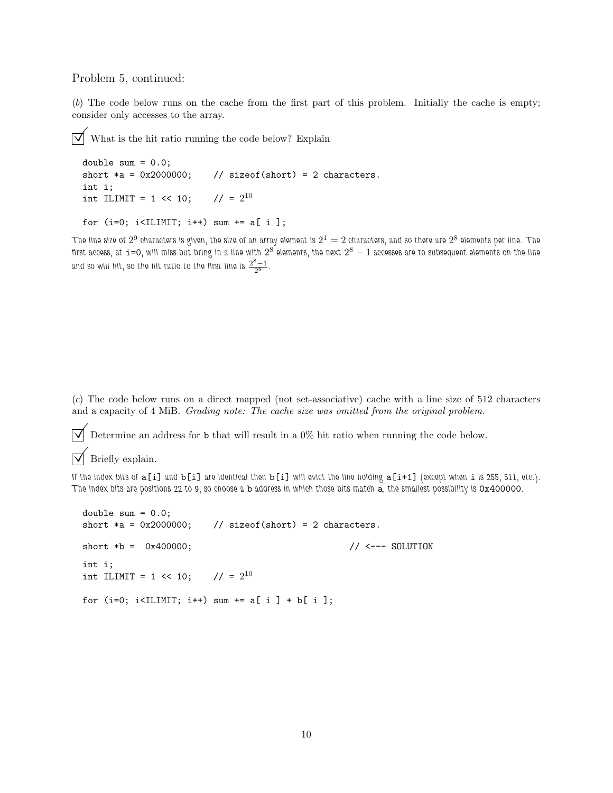Problem 5, continued:

(b) The code below runs on the cache from the first part of this problem. Initially the cache is empty; consider only accesses to the array.

 $\overline{\vee}$  What is the hit ratio running the code below? Explain

and so will hit, so the hit ratio to the first line is  $\frac{2^8-1}{2^8}$ .

```
double sum = 0.0;
short *a = 0x2000000; // sizeof(short) = 2 characters.
int i;
int ILIMIT = 1 \leq 10;
                         1/ = 2^{10}for (i=0; i<ILIMIT; i++) sum += a[ i ];
```
The line size of  $2^9$  characters is given, the size of an array element is  $2^1=2$  characters, and so there are  $2^8$  elements per line. The first access, at <code>i=0</code>, will miss but bring in a line with  $2^8$  elements, the next  $2^8-1$  accesses are to subsequent elements on the line

(c) The code below runs on a direct mapped (not set-associative) cache with a line size of 512 characters and a capacity of 4 MiB. Grading note: The cache size was omitted from the original problem.

 $\overrightarrow{\mathsf{M}}$  Determine an address for **b** that will result in a 0% hit ratio when running the code below.

 $\nabla$  Briefly explain.

If the index bits of  $a[i]$  and  $b[i]$  are identical then  $b[i]$  will evict the line holding  $a[i+1]$  (except when i is 255, 511, etc.). The index bits are positions 22 to 9, so choose a b address in which those bits match a, the smallest possibility is 0x400000.

```
double sum = 0.0;
short *a = 0x2000000; // sizeof(short) = 2 characters.
short *b = 0x400000; // \leftarrow -50LUTIONint i;
int ILIMIT = 1 \leq 10;
                   1/ = 2^{10}for (i=0; i<IILMIT; i++) sum += a[i] + b[i];
```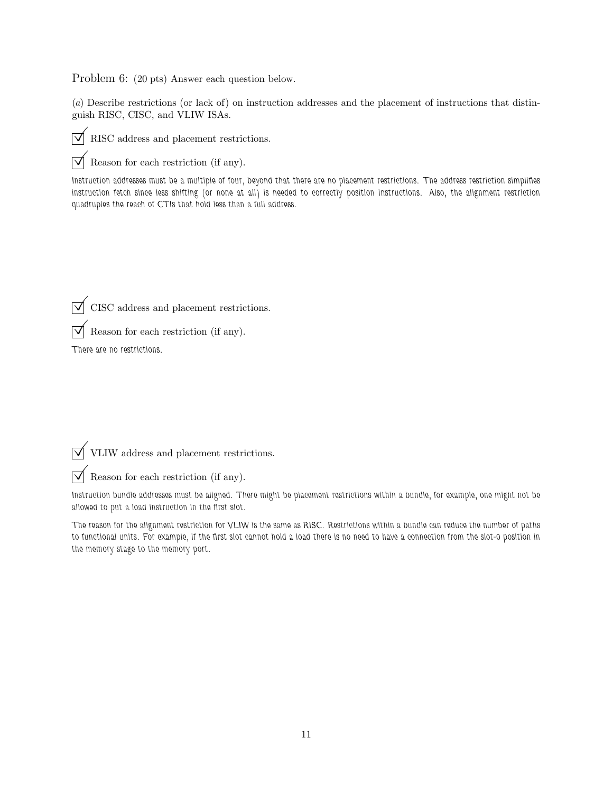Problem 6: (20 pts) Answer each question below.

(a) Describe restrictions (or lack of) on instruction addresses and the placement of instructions that distinguish RISC, CISC, and VLIW ISAs.



 $\triangledown$  RISC address and placement restrictions.

 $\triangledown$  Reason for each restriction (if any).

Instruction addresses must be a multiple of four, beyond that there are no placement restrictions. The address restriction simplifies instruction fetch since less shifting (or none at all) is needed to correctly position instructions. Also, the alignment restriction quadruples the reach of CTIs that hold less than a full address.

 $\sqrt{\phantom{a}}$  CISC address and placement restrictions.

 $\triangledown$  Reason for each restriction (if any).

There are no restrictions.

 $\boxed{\bigtriangledown}$  VLIW address and placement restrictions.

 $\triangledown$  Reason for each restriction (if any).

Instruction bundle addresses must be aligned. There might be placement restrictions within a bundle, for example, one might not be allowed to put a load instruction in the first slot.

The reason for the alignment restriction for VLIW is the same as RISC. Restrictions within a bundle can reduce the number of paths to functional units. For example, if the first slot cannot hold a load there is no need to have a connection from the slot-0 position in the memory stage to the memory port.